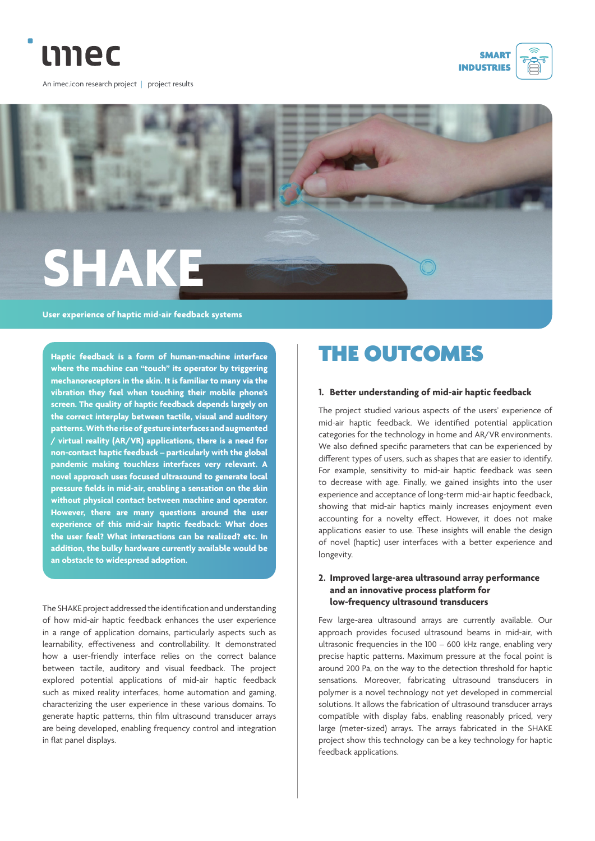

An imec.icon research project | project results





**User experience of haptic mid-air feedback systems**

**Haptic feedback is a form of human-machine interface where the machine can "touch" its operator by triggering mechanoreceptors in the skin. It is familiar to many via the vibration they feel when touching their mobile phone's screen. The quality of haptic feedback depends largely on the correct interplay between tactile, visual and auditory patterns. With the rise of gesture interfaces and augmented / virtual reality (AR/VR) applications, there is a need for non-contact haptic feedback – particularly with the global pandemic making touchless interfaces very relevant. A novel approach uses focused ultrasound to generate local pressure fields in mid-air, enabling a sensation on the skin without physical contact between machine and operator. However, there are many questions around the user experience of this mid-air haptic feedback: What does the user feel? What interactions can be realized? etc. In addition, the bulky hardware currently available would be an obstacle to widespread adoption.**

The SHAKE project addressed the identification and understanding of how mid-air haptic feedback enhances the user experience in a range of application domains, particularly aspects such as learnability, effectiveness and controllability. It demonstrated how a user-friendly interface relies on the correct balance between tactile, auditory and visual feedback. The project explored potential applications of mid-air haptic feedback such as mixed reality interfaces, home automation and gaming, characterizing the user experience in these various domains. To generate haptic patterns, thin film ultrasound transducer arrays are being developed, enabling frequency control and integration in flat panel displays.

# THE OUTCOMES

#### **1. Better understanding of mid-air haptic feedback**

The project studied various aspects of the users' experience of mid-air haptic feedback. We identified potential application categories for the technology in home and AR/VR environments. We also defined specific parameters that can be experienced by different types of users, such as shapes that are easier to identify. For example, sensitivity to mid-air haptic feedback was seen to decrease with age. Finally, we gained insights into the user experience and acceptance of long-term mid-air haptic feedback, showing that mid-air haptics mainly increases enjoyment even accounting for a novelty effect. However, it does not make applications easier to use. These insights will enable the design of novel (haptic) user interfaces with a better experience and longevity.

#### **2. Improved large-area ultrasound array performance and an innovative process platform for low-frequency ultrasound transducers**

Few large-area ultrasound arrays are currently available. Our approach provides focused ultrasound beams in mid-air, with ultrasonic frequencies in the 100 – 600 kHz range, enabling very precise haptic patterns. Maximum pressure at the focal point is around 200 Pa, on the way to the detection threshold for haptic sensations. Moreover, fabricating ultrasound transducers in polymer is a novel technology not yet developed in commercial solutions. It allows the fabrication of ultrasound transducer arrays compatible with display fabs, enabling reasonably priced, very large (meter-sized) arrays. The arrays fabricated in the SHAKE project show this technology can be a key technology for haptic feedback applications.